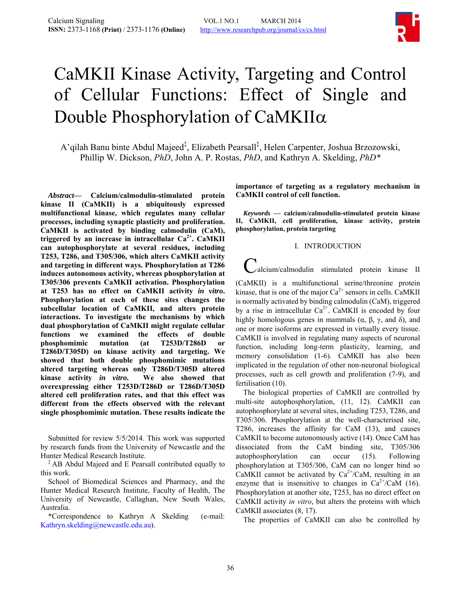

# <span id="page-0-0"></span>CaMKII Kinase Activity, Targeting and Control of Cellular Functions: Effect of Single and Double Phosphorylation of CaMKIIα

A'qilah Banu binte Abdul Majeed‡ , Elizabeth Pearsall‡ , Helen Carpenter, Joshua Brzozowski, Phillip W. Dickson, *PhD*, John A. P. Rostas, *PhD*, and Kathryn A. Skelding, *PhD\**

*Abstract***— Calcium/calmodulin-stimulated protein kinase II (CaMKII) is a ubiquitously expressed multifunctional kinase, which regulates many cellular processes, including synaptic plasticity and proliferation. CaMKII is activated by binding calmodulin (CaM),**  triggered by an increase in intracellular Ca<sup>2+</sup>. CaMKII **can autophosphorylate at several residues, including T253, T286, and T305/306, which alters CaMKII activity and targeting in different ways. Phosphorylation at T286 induces autonomous activity, whereas phosphorylation at T305/306 prevents CaMKII activation. Phosphorylation at T253 has no effect on CaMKII activity** *in vitro***. Phosphorylation at each of these sites changes the subcellular location of CaMKII, and alters protein interactions. To investigate the mechanisms by which dual phosphorylation of CaMKII might regulate cellular functions we examined the effects of double phosphomimic mutation (at T253D/T286D or T286D/T305D) on kinase activity and targeting. We showed that both double phosphomimic mutations altered targeting whereas only T286D/T305D altered kinase activity** *in vitro***. We also showed that overexpressing either T253D/T286D or T286D/T305D altered cell proliferation rates, and that this effect was different from the effects observed with the relevant single phosphomimic mutation. These results indicate the** 

Submitted for review 5/5/2014. This work was supported by research funds from the University of Newcastle and the Hunter Medical Research Institute.

‡ AB Abdul Majeed and E Pearsall contributed equally to this work.

School of Biomedical Sciences and Pharmacy, and the Hunter Medical Research Institute, Faculty of Health, The University of Newcastle, Callaghan, New South Wales, Australia.

\*Correspondence to Kathryn A Skelding (e-mail: Kathryn.skelding@newcastle.edu.au).

**importance of targeting as a regulatory mechanism in CaMKII control of cell function.** 

*Keywords* **— calcium/calmodulin-stimulated protein kinase II, CaMKII, cell proliferation, kinase activity, protein phosphorylation, protein targeting** 

#### I. INTRODUCTION

alcium/calmodulin stimulated protein kinase II

(CaMKII) is a multifunctional serine/threonine protein kinase, that is one of the major  $Ca^{2+}$  sensors in cells. CaMKII is normally activated by binding calmodulin (CaM), triggered by a rise in intracellular  $Ca^{2+}$ . CaMKII is encoded by four highly homologous genes in mammals  $(α, β, γ, and δ)$ , and one or more isoforms are expressed in virtually every tissue. CaMKII is involved in regulating many aspects of neuronal function, including long-term plasticity, learning, and memory consolidation [\(1-6\)](#page-0-0). CaMKII has also been implicated in the regulation of other non-neuronal biological processes, such as cell growth and proliferation [\(7-9\)](#page-0-0), and fertilisation [\(10](#page-0-0)).

The biological properties of CaMKII are controlled by multi-site autophosphorylation, ([11,](#page-0-0) [12\)](#page-0-0). CaMKII can autophosphorylate at several sites, including T253, T286, and T305/306. Phosphorylation at the well-characterised site, T286, increases the affinity for CaM ([13\)](#page-0-0), and causes CaMKII to become autonomously active [\(14](#page-0-0)). Once CaM has dissociated from the CaM binding site, T305/306 autophosphorylation can occur ([15\)](#page-0-0). Following phosphorylation at T305/306, CaM can no longer bind so CaMKII cannot be activated by  $Ca^{2+}/CaM$ , resulting in an enzyme that is insensitive to changes in  $Ca^{2+}/CaM$  [\(16](#page-0-0)). Phosphorylation at another site, T253, has no direct effect on CaMKII activity *in vitro*, but alters the proteins with which CaMKII associates [\(8](#page-0-0), [17\)](#page-0-0).

The properties of CaMKII can also be controlled by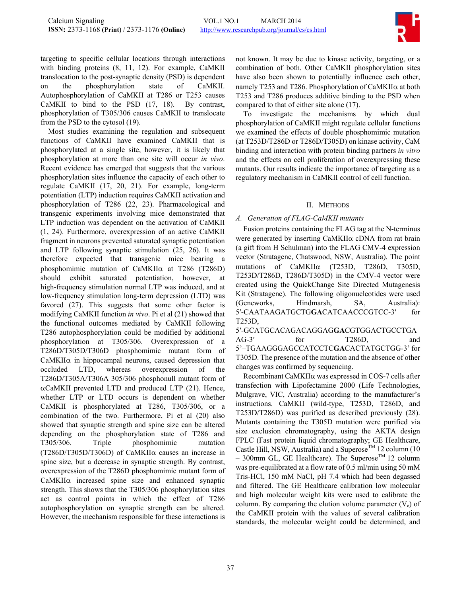

targeting to specific cellular locations through interactions with binding proteins [\(8](#page-0-0), [11,](#page-0-0) [12](#page-0-0)). For example, CaMKII translocation to the post-synaptic density (PSD) is dependent on the phosphorylation state of CaMKII. Autophosphorylation of CaMKII at T286 or T253 causes CaMKII to bind to the PSD ([17,](#page-0-0) [18](#page-0-0)). By contrast, phosphorylation of T305/306 causes CaMKII to translocate from the PSD to the cytosol [\(19](#page-0-0)).

Most studies examining the regulation and subsequent functions of CaMKII have examined CaMKII that is phosphorylated at a single site, however, it is likely that phosphorylation at more than one site will occur *in vivo*. Recent evidence has emerged that suggests that the various phosphorylation sites influence the capacity of each other to regulate CaMKII [\(17](#page-0-0), [20](#page-0-0), [21\)](#page-0-0). For example, long-term potentiation (LTP) induction requires CaMKII activation and phosphorylation of T286 [\(22](#page-0-0), [23\)](#page-0-0). Pharmacological and transgenic experiments involving mice demonstrated that LTP induction was dependent on the activation of CaMKII [\(1](#page-0-0), [24\)](#page-0-0). Furthermore, overexpression of an active CaMKII fragment in neurons prevented saturated synaptic potentiation and LTP following synaptic stimulation [\(25,](#page-0-0) [26\)](#page-0-0). It was therefore expected that transgenic mice bearing a phosphomimic mutation of CaMKIIα at T286 (T286D) should exhibit saturated potentiation, however, at high-frequency stimulation normal LTP was induced, and at low-frequency stimulation long-term depression (LTD) was favored ([27\)](#page-0-0). This suggests that some other factor is modifying CaMKII function *in vivo*. Pi et al [\(21](#page-0-0)) showed that the functional outcomes mediated by CaMKII following T286 autophosphorylation could be modified by additional phosphorylation at T305/306. Overexpression of a T286D/T305D/T306D phosphomimic mutant form of  $CaMKII\alpha$  in hippocampal neurons, caused depression that occluded LTD, whereas overexpression of the T286D/T305A/T306A 305/306 phosphonull mutant form of  $\alpha$ CaMKII prevented LTD and produced LTP ([21\)](#page-0-0). Hence, whether LTP or LTD occurs is dependent on whether CaMKII is phosphorylated at T286, T305/306, or a combination of the two. Furthermore, Pi et al ([20\)](#page-0-0) also showed that synaptic strength and spine size can be altered depending on the phosphorylation state of T286 and T305/306. Triple phosphomimic mutation (T286D/T305D/T306D) of CaMKIIα causes an increase in spine size, but a decrease in synaptic strength. By contrast, overexpression of the T286D phosphomimic mutant form of CaMKIIα increased spine size and enhanced synaptic strength. This shows that the T305/306 phosphorylation sites act as control points in which the effect of T286 autophosphorylation on synaptic strength can be altered. However, the mechanism responsible for these interactions is

not known. It may be due to kinase activity, targeting, or a combination of both. Other CaMKII phosphorylation sites have also been shown to potentially influence each other, namely T253 and T286. Phosphorylation of CaMKIIα at both T253 and T286 produces additive binding to the PSD when compared to that of either site alone [\(17\)](#page-0-0).

To investigate the mechanisms by which dual phosphorylation of CaMKII might regulate cellular functions we examined the effects of double phosphomimic mutation (at T253D/T286D or T286D/T305D) on kinase activity, CaM binding and interaction with protein binding partners *in vitro* and the effects on cell proliferation of overexpressing these mutants. Our results indicate the importance of targeting as a regulatory mechanism in CaMKII control of cell function.

## II. METHODS

# *A. Generation of FLAG-CaMKII mutants*

Fusion proteins containing the FLAG tag at the N-terminus were generated by inserting CaMKIIα cDNA from rat brain (a gift from H Schulman) into the FLAG CMV-4 expression vector (Stratagene, Chatswood, NSW, Australia). The point mutations of CaMKIIα (T253D, T286D, T305D, T253D/T286D, T286D/T305D) in the CMV-4 vector were created using the QuickChange Site Directed Mutagenesis Kit (Stratagene). The following oligonucleotides were used (Geneworks, Hindmarsh, SA, Australia): 5′-CAATAAGATGCTG**GA**CATCAACCCGTCC-3′ for T253D,

5′-GCATGCACAGACAGGAG**GA**CGTGGACTGCCTGA AG-3' for T286D, and 5'–TGAAGGGAGCCATCCTC**GA**CACTATGCTGG-3' for T305D. The presence of the mutation and the absence of other changes was confirmed by sequencing.

Recombinant CaMKIIα was expressed in COS-7 cells after transfection with Lipofectamine 2000 (Life Technologies, Mulgrave, VIC, Australia) according to the manufacturer's instructions. CaMKII (wild-type, T253D, T286D, and T253D/T286D) was purified as described previously [\(28](#page-0-0)). Mutants containing the T305D mutation were purified via size exclusion chromatography, using the AKTA design FPLC (Fast protein liquid chromatography; GE Healthcare, Castle Hill, NSW, Australia) and a Superose<sup>TM</sup> 12 column (10) – 300mm GL, GE Healthcare). The Superose<sup>TM</sup> 12 column was pre-equilibrated at a flow rate of 0.5 ml/min using 50 mM Tris-HCl, 150 mM NaCl, pH 7.4 which had been degassed and filtered. The GE Healthcare calibration low molecular and high molecular weight kits were used to calibrate the column. By comparing the elution volume parameter  $(V_e)$  of the CaMKII protein with the values of several calibration standards, the molecular weight could be determined, and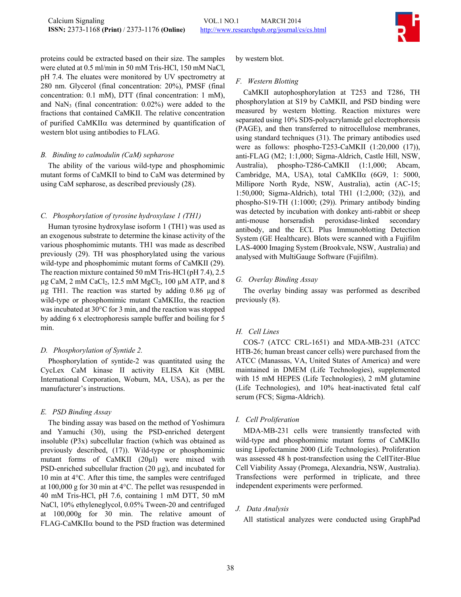

proteins could be extracted based on their size. The samples were eluted at 0.5 ml/min in 50 mM Tris-HCl, 150 mM NaCl, pH 7.4. The eluates were monitored by UV spectrometry at 280 nm. Glycerol (final concentration: 20%), PMSF (final concentration: 0.1 mM), DTT (final concentration: 1 mM), and  $\text{NaN}_3$  (final concentration: 0.02%) were added to the fractions that contained CaMKII. The relative concentration of purified CaMKIIα was determined by quantification of western blot using antibodies to FLAG.

## *B. Binding to calmodulin (CaM) sepharose*

The ability of the various wild-type and phosphomimic mutant forms of CaMKII to bind to CaM was determined by using CaM sepharose, as described previously ([28\)](#page-0-0).

## *C. Phosphorylation of tyrosine hydroxylase 1 (TH1)*

Human tyrosine hydroxylase isoform 1 (TH1) was used as an exogenous substrate to determine the kinase activity of the various phosphomimic mutants. TH1 was made as described previously ([29\)](#page-0-0). TH was phosphorylated using the various wild-type and phosphomimic mutant forms of CaMKII [\(29\)](#page-0-0). The reaction mixture contained 50 mM Tris-HCl (pH 7.4), 2.5  $\mu$ g CaM, 2 mM CaCl<sub>2</sub>, 12.5 mM MgCl<sub>2</sub>, 100  $\mu$ M ATP, and 8 µg TH1. The reaction was started by adding 0.86 µg of wild-type or phosphomimic mutant CaMKIIα, the reaction was incubated at 30°C for 3 min, and the reaction was stopped by adding 6 x electrophoresis sample buffer and boiling for 5 min.

## *D. Phosphorylation of Syntide 2.*

Phosphorylation of syntide-2 was quantitated using the CycLex CaM kinase II activity ELISA Kit (MBL International Corporation, Woburn, MA, USA), as per the manufacturer's instructions.

## *E. PSD Binding Assay*

The binding assay was based on the method of Yoshimura and Yamuchi [\(30](#page-0-0)), using the PSD-enriched detergent insoluble (P3x) subcellular fraction (which was obtained as previously described, ([17\)](#page-0-0)). Wild-type or phosphomimic mutant forms of CaMKII (20µl) were mixed with PSD-enriched subcellular fraction (20 µg), and incubated for 10 min at 4°C. After this time, the samples were centrifuged at 100,000 g for 30 min at 4°C. The pellet was resuspended in 40 mM Tris-HCl, pH 7.6, containing 1 mM DTT, 50 mM NaCl, 10% ethyleneglycol, 0.05% Tween-20 and centrifuged at 100,000g for 30 min. The relative amount of FLAG-CaMKIIα bound to the PSD fraction was determined by western blot.

#### *F. Western Blotting*

CaMKII autophosphorylation at T253 and T286, TH phosphorylation at S19 by CaMKII, and PSD binding were measured by western blotting. Reaction mixtures were separated using 10% SDS-polyacrylamide gel electrophoresis (PAGE), and then transferred to nitrocellulose membranes, using standard techniques ([31\)](#page-0-0). The primary antibodies used were as follows: phospho-T253-CaMKII (1:20,000 [\(17\)](#page-0-0)), anti-FLAG (M2; 1:1,000; Sigma-Aldrich, Castle Hill, NSW, Australia), phospho-T286-CaMKII (1:1,000; Abcam, Cambridge, MA, USA), total CaMKIIα (6G9, 1: 5000, Millipore North Ryde, NSW, Australia), actin (AC-15; 1:50,000; Sigma-Aldrich), total TH1 (1:2,000; [\(32](#page-0-0))), and phospho-S19-TH (1:1000; [\(29](#page-0-0))). Primary antibody binding was detected by incubation with donkey anti-rabbit or sheep anti-mouse horseradish peroxidase-linked secondary antibody, and the ECL Plus Immunoblotting Detection System (GE Healthcare). Blots were scanned with a Fujifilm LAS-4000 Imaging System (Brookvale, NSW, Australia) and analysed with MultiGauge Software (Fujifilm).

#### *G. Overlay Binding Assay*

The overlay binding assay was performed as described previously [\(8](#page-0-0)).

## *H. Cell Lines*

COS-7 (ATCC CRL-1651) and MDA-MB-231 (ATCC HTB-26; human breast cancer cells) were purchased from the ATCC (Manassas, VA, United States of America) and were maintained in DMEM (Life Technologies), supplemented with 15 mM HEPES (Life Technologies), 2 mM glutamine (Life Technologies), and 10% heat-inactivated fetal calf serum (FCS; Sigma-Aldrich).

## *I. Cell Proliferation*

MDA-MB-231 cells were transiently transfected with wild-type and phosphomimic mutant forms of  $CaMKII\alpha$ using Lipofectamine 2000 (Life Technologies). Proliferation was assessed 48 h post-transfection using the CellTiter-Blue Cell Viability Assay (Promega, Alexandria, NSW, Australia). Transfections were performed in triplicate, and three independent experiments were performed.

## *J. Data Analysis*

All statistical analyzes were conducted using GraphPad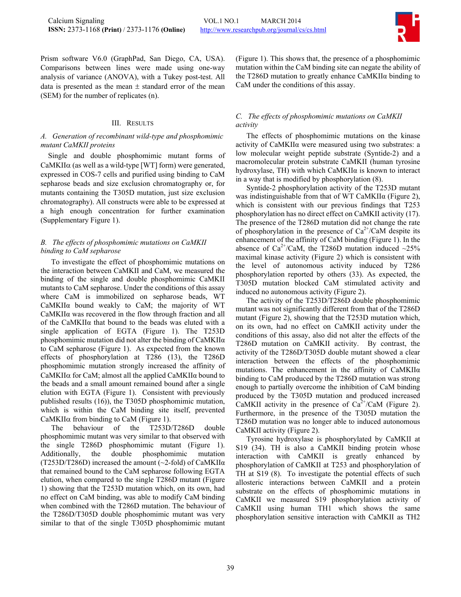

Prism software V6.0 (GraphPad, San Diego, CA, USA). Comparisons between lines were made using one-way analysis of variance (ANOVA), with a Tukey post-test. All data is presented as the mean  $\pm$  standard error of the mean (SEM) for the number of replicates (n).

## III. RESULTS

## *A. Generation of recombinant wild-type and phosphomimic mutant CaMKII proteins*

Single and double phosphomimic mutant forms of CaMKII $\alpha$  (as well as a wild-type [WT] form) were generated, expressed in COS-7 cells and purified using binding to CaM sepharose beads and size exclusion chromatography or, for mutants containing the T305D mutation, just size exclusion chromatography). All constructs were able to be expressed at a high enough concentration for further examination (Supplementary Figure 1).

## *B. The effects of phosphomimic mutations on CaMKII binding to CaM sepharose*

To investigate the effect of phosphomimic mutations on the interaction between CaMKII and CaM, we measured the binding of the single and double phosphomimic CaMKII mutants to CaM sepharose. Under the conditions of this assay where CaM is immobilized on sepharose beads, WT CaMKIIα bound weakly to CaM; the majority of WT CaMKIIα was recovered in the flow through fraction and all of the CaMKIIα that bound to the beads was eluted with a single application of EGTA (Figure 1). The T253D phosphomimic mutation did not alter the binding of CaMKIIα to CaM sepharose (Figure 1). As expected from the known effects of phosphorylation at T286 [\(13](#page-0-0)), the T286D phosphomimic mutation strongly increased the affinity of CaMKIIα for CaM; almost all the applied CaMKIIα bound to the beads and a small amount remained bound after a single elution with EGTA (Figure 1). Consistent with previously published results ([16\)](#page-0-0)), the T305D phosphomimic mutation, which is within the CaM binding site itself, prevented CaMKIIα from binding to CaM (Figure 1).

The behaviour of the T253D/T286D double phosphomimic mutant was very similar to that observed with the single T286D phosphomimic mutant (Figure 1). Additionally, the double phosphomimic mutation (T253D/T286D) increased the amount  $(\sim 2$ -fold) of CaMKII $\alpha$ that remained bound to the CaM sepharose following EGTA elution, when compared to the single T286D mutant (Figure 1) showing that the T253D mutation which, on its own, had no effect on CaM binding, was able to modify CaM binding when combined with the T286D mutation. The behaviour of the T286D/T305D double phosphomimic mutant was very similar to that of the single T305D phosphomimic mutant

(Figure 1). This shows that, the presence of a phosphomimic mutation within the CaM binding site can negate the ability of the T286D mutation to greatly enhance CaMKIIα binding to CaM under the conditions of this assay.

# *C. The effects of phosphomimic mutations on CaMKII activity*

The effects of phosphomimic mutations on the kinase activity of CaMKIIα were measured using two substrates: a low molecular weight peptide substrate (Syntide-2) and a macromolecular protein substrate CaMKII (human tyrosine hydroxylase, TH) with which CaMKIIα is known to interact in a way that is modified by phosphorylation [\(8](#page-0-0)).

Syntide-2 phosphorylation activity of the T253D mutant was indistinguishable from that of WT CaMKIIα (Figure 2), which is consistent with our previous findings that T253 phosphorylation has no direct effect on CaMKII activity [\(17](#page-0-0)). The presence of the T286D mutation did not change the rate of phosphorylation in the presence of  $Ca^{2+}/CaM$  despite its enhancement of the affinity of CaM binding (Figure 1). In the absence of  $Ca^{2+}/CaM$ , the T286D mutation induced  $\sim$ 25% maximal kinase activity (Figure 2) which is consistent with the level of autonomous activity induced by T286 phosphorylation reported by others [\(33](#page-0-0)). As expected, the T305D mutation blocked CaM stimulated activity and induced no autonomous activity (Figure 2).

The activity of the T253D/T286D double phosphomimic mutant was not significantly different from that of the T286D mutant (Figure 2), showing that the T253D mutation which, on its own, had no effect on CaMKII activity under the conditions of this assay, also did not alter the effects of the T286D mutation on CaMKII activity. By contrast, the activity of the T286D/T305D double mutant showed a clear interaction between the effects of the phosphomimic mutations. The enhancement in the affinity of CaMKIIα binding to CaM produced by the T286D mutation was strong enough to partially overcome the inhibition of CaM binding produced by the T305D mutation and produced increased CaMKII activity in the presence of  $Ca^{2+}/CaM$  (Figure 2). Furthermore, in the presence of the T305D mutation the T286D mutation was no longer able to induced autonomous CaMKII activity (Figure 2).

Tyrosine hydroxylase is phosphorylated by CaMKII at S19 ([34\)](#page-0-0). TH is also a CaMKII binding protein whose interaction with CaMKII is greatly enhanced by phosphorylation of CaMKII at T253 and phosphorylation of TH at S19 [\(8](#page-0-0)). To investigate the potential effects of such allosteric interactions between CaMKII and a protein substrate on the effects of phosphomimic mutations in CaMKII we measured S19 phosphorylation activity of CaMKII using human TH1 which shows the same phosphorylation sensitive interaction with CaMKII as TH2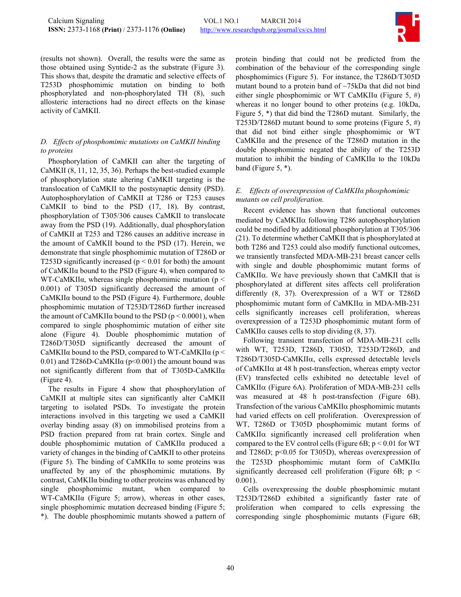

(results not shown). Overall, the results were the same as those obtained using Syntide-2 as the substrate (Figure 3). This shows that, despite the dramatic and selective effects of T253D phosphomimic mutation on binding to both phosphorylated and non-phosphorylated TH [\(8](#page-0-0)), such allosteric interactions had no direct effects on the kinase activity of CaMKII.

# *D. Effects of phosphomimic mutations on CaMKII binding to proteins*

Phosphorylation of CaMKII can alter the targeting of CaMKII [\(8](#page-0-0), [11](#page-0-0), [12](#page-0-0), [35,](#page-0-0) [36\)](#page-0-0). Perhaps the best-studied example of phosphorylation state altering CaMKII targeting is the translocation of CaMKII to the postsynaptic density (PSD). Autophosphorylation of CaMKII at T286 or T253 causes CaMKII to bind to the PSD [\(17,](#page-0-0) [18\)](#page-0-0). By contrast, phosphorylation of T305/306 causes CaMKII to translocate away from the PSD [\(19](#page-0-0)). Additionally, dual phosphorylation of CaMKII at T253 and T286 causes an additive increase in the amount of CaMKII bound to the PSD [\(17](#page-0-0)). Herein, we demonstrate that single phosphomimic mutation of T286D or T253D significantly increased ( $p < 0.01$  for both) the amount of CaMKIIα bound to the PSD (Figure 4), when compared to WT-CaMKII $\alpha$ , whereas single phosphomimic mutation (p < 0.001) of T305D significantly decreased the amount of CaMKIIα bound to the PSD (Figure 4). Furthermore, double phosphomimic mutation of T253D/T286D further increased the amount of CaMKII $\alpha$  bound to the PSD ( $p < 0.0001$ ), when compared to single phosphomimic mutation of either site alone (Figure 4). Double phosphomimic mutation of T286D/T305D significantly decreased the amount of CaMKII $\alpha$  bound to the PSD, compared to WT-CaMKII $\alpha$  (p < 0.01) and T286D-CaMKII $\alpha$  (p<0.001) the amount bound was not significantly different from that of T305D-CaMKIIα (Figure 4).

The results in Figure 4 show that phosphorylation of CaMKII at multiple sites can significantly alter CaMKII targeting to isolated PSDs. To investigate the protein interactions involved in this targeting we used a CaMKII overlay binding assay ([8\)](#page-0-0) on immobilised proteins from a PSD fraction prepared from rat brain cortex. Single and double phosphomimic mutation of CaMKIIα produced a variety of changes in the binding of CaMKII to other proteins (Figure 5). The binding of  $CaMKII\alpha$  to some proteins was unaffected by any of the phosphomimic mutations. By contrast, CaMKIIα binding to other proteins was enhanced by single phosphomimic mutant, when compared to WT-CaMKIIα (Figure 5; arrow), whereas in other cases, single phosphomimic mutation decreased binding (Figure 5; \*). The double phosphomimic mutants showed a pattern of protein binding that could not be predicted from the combination of the behaviour of the corresponding single phosphomimics (Figure 5). For instance, the T286D/T305D mutant bound to a protein band of ~75kDa that did not bind either single phosphomimic or WT CaMKII $\alpha$  (Figure 5, #) whereas it no longer bound to other proteins (e.g. 10kDa, Figure 5, \*) that did bind the T286D mutant. Similarly, the T253D/T286D mutant bound to some proteins (Figure 5, #) that did not bind either single phosphomimic or WT CaMKIIα and the presence of the T286D mutation in the double phosphomimic negated the ability of the T253D mutation to inhibit the binding of CaMKIIα to the 10kDa band (Figure 5, \*).

# *E. Effects of overexpression of CaMKIIα phosphomimic mutants on cell proliferation.*

Recent evidence has shown that functional outcomes mediated by CaMKIIα following T286 autophosphorylation could be modified by additional phosphorylation at T305/306 [\(21\)](#page-0-0). To determine whether CaMKII that is phosphorylated at both T286 and T253 could also modify functional outcomes, we transiently transfected MDA-MB-231 breast cancer cells with single and double phosphomimic mutant forms of CaMKIIα. We have previously shown that CaMKII that is phosphorylated at different sites affects cell proliferation differently ([8,](#page-0-0) [37](#page-0-0)). Overexpression of a WT or T286D phosphomimic mutant form of CaMKIIα in MDA-MB-231 cells significantly increases cell proliferation, whereas overexpression of a T253D phosphomimic mutant form of CaMKII $\alpha$  causes cells to stop dividing [\(8,](#page-0-0) [37\)](#page-0-0).

Following transient transfection of MDA-MB-231 cells with WT, T253D, T286D, T305D, T253D/T286D, and T286D/T305D-CaMKIIα, cells expressed detectable levels of CaMKIIα at 48 h post-transfection, whereas empty vector (EV) transfected cells exhibited no detectable level of CaMKIIα (Figure 6A). Proliferation of MDA-MB-231 cells was measured at 48 h post-transfection (Figure 6B). Transfection of the various CaMKIIα phosphomimic mutants had varied effects on cell proliferation. Overexpression of WT, T286D or T305D phosphomimic mutant forms of CaMKIIα significantly increased cell proliferation when compared to the EV control cells (Figure 6B;  $p < 0.01$  for WT and T286D; p<0.05 for T305D), whereas overexpression of the T253D phosphomimic mutant form of CaMKIIα significantly decreased cell proliferation (Figure 6B;  $p \le$ 0.001).

Cells overexpressing the double phosphomimic mutant T253D/T286D exhibited a significantly faster rate of proliferation when compared to cells expressing the corresponding single phosphomimic mutants (Figure 6B;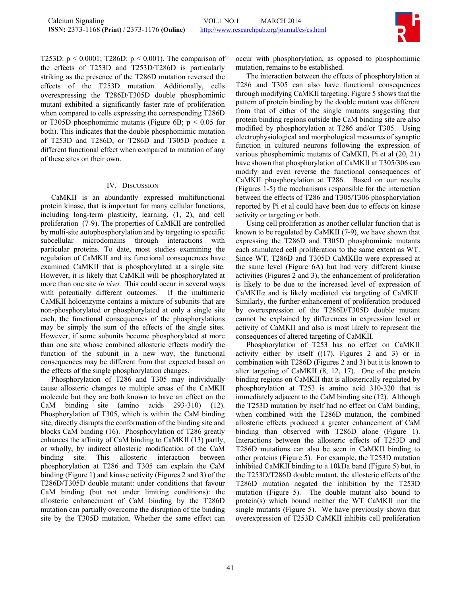

T253D:  $p < 0.0001$ ; T286D:  $p < 0.001$ ). The comparison of the effects of T253D and T253D/T286D is particularly striking as the presence of the T286D mutation reversed the effects of the T253D mutation. Additionally, cells overexpressing the T286D/T305D double phosphomimic mutant exhibited a significantly faster rate of proliferation when compared to cells expressing the corresponding T286D or T305D phosphomimic mutants (Figure 6B;  $p < 0.05$  for both). This indicates that the double phosphomimic mutation of T253D and T286D, or T286D and T305D produce a different functional effect when compared to mutation of any of these sites on their own.

## IV. DISCUSSION

CaMKII is an abundantly expressed multifunctional protein kinase, that is important for many cellular functions, including long-term plasticity, learning, [\(1](#page-0-0), [2\)](#page-0-0), and cell proliferation ([7-9](#page-0-0)). The properties of CaMKII are controlled by multi-site autophosphorylation and by targeting to specific subcellular microdomains through interactions with particular proteins. To date, most studies examining the regulation of CaMKII and its functional consequences have examined CaMKII that is phosphorylated at a single site. However, it is likely that CaMKII will be phosphorylated at more than one site *in vivo*. This could occur in several ways with potentially different outcomes. If the multimeric CaMKII holoenzyme contains a mixture of subunits that are non-phosphorylated or phosphorylated at only a single site each, the functional consequences of the phosphorylations may be simply the sum of the effects of the single sites. However, if some subunits become phosphorylated at more than one site whose combined allosteric effects modify the function of the subunit in a new way, the functional consequences may be different from that expected based on the effects of the single phosphorylation changes.

Phosphorylation of T286 and T305 may individually cause allosteric changes to multiple areas of the CaMKII molecule but they are both known to have an effect on the CaM binding site (amino acids 293-310) [\(12\)](#page-0-0). Phosphorylation of T305, which is within the CaM binding site, directly disrupts the conformation of the binding site and blocks CaM binding ([16\)](#page-0-0). Phosphorylation of T286 greatly enhances the affinity of CaM binding to CaMKII [\(13](#page-0-0)) partly, or wholly, by indirect allosteric modification of the CaM binding site. This allosteric interaction between phosphorylation at T286 and T305 can explain the CaM binding (Figure 1) and kinase activity (Figures 2 and 3) of the T286D/T305D double mutant: under conditions that favour CaM binding (but not under limiting conditions): the allosteric enhancement of CaM binding by the T286D mutation can partially overcome the disruption of the binding site by the T305D mutation. Whether the same effect can occur with phosphorylation, as opposed to phosphomimic mutation, remains to be established.

The interaction between the effects of phosphorylation at T286 and T305 can also have functional consequences through modifying CaMKII targeting. Figure 5 shows that the pattern of protein binding by the double mutant was different from that of either of the single mutants suggesting that protein binding regions outside the CaM binding site are also modified by phosphorylation at T286 and/or T305. Using electrophysiological and morphological measures of synaptic function in cultured neurons following the expression of various phosphomimic mutants of CaMKII, Pi et al [\(20](#page-0-0), [21\)](#page-0-0) have shown that phosphorylation of CaMKII at T305/306 can modify and even reverse the functional consequences of CaMKII phosphorylation at T286. Based on our results (Figures 1-5) the mechanisms responsible for the interaction between the effects of T286 and T305/T306 phosphorylation reported by Pi et al could have been due to effects on kinase activity or targeting or both.

Using cell proliferation as another cellular function that is known to be regulated by CaMKII [\(7-9\)](#page-0-0), we have shown that expressing the T286D and T305D phosphomimic mutants each stimulated cell proliferation to the same extent as WT. Since WT, T286D and T305D CaMKIIα were expressed at the same level (Figure 6A) but had very different kinase activities (Figures 2 and 3), the enhancement of proliferation is likely to be due to the increased level of expression of CaMKIIα and is likely mediated via targeting of CaMKII. Similarly, the further enhancement of proliferation produced by overexpression of the T286D/T305D double mutant cannot be explained by differences in expression level or activity of CaMKII and also is most likely to represent the consequences of altered targeting of CaMKII.

Phosphorylation of T253 has no effect on CaMKII activity either by itself (([17\)](#page-0-0), Figures 2 and 3) or in combination with T286D (Figures 2 and 3) but it is known to alter targeting of CaMKII [\(8](#page-0-0), [12,](#page-0-0) [17](#page-0-0)). One of the protein binding regions on CaMKII that is allosterically regulated by phosphorylation at T253 is amino acid 310-320 that is immediately adjacent to the CaM binding site [\(12](#page-0-0)). Although the T253D mutation by itself had no effect on CaM binding, when combined with the T286D mutation, the combined allosteric effects produced a greater enhancement of CaM binding than observed with T286D alone (Figure 1). Interactions between the allosteric effects of T253D and T286D mutations can also be seen in CaMKII binding to other proteins (Figure 5). For example, the T253D mutation inhibited CaMKII binding to a 10kDa band (Figure 5) but, in the T253D/T286D double mutant, the allosteric effects of the T286D mutation negated the inhibition by the T253D mutation (Figure 5). The double mutant also bound to protein(s) which bound neither the WT CaMKII nor the single mutants (Figure 5). We have previously shown that overexpression of T253D CaMKII inhibits cell proliferation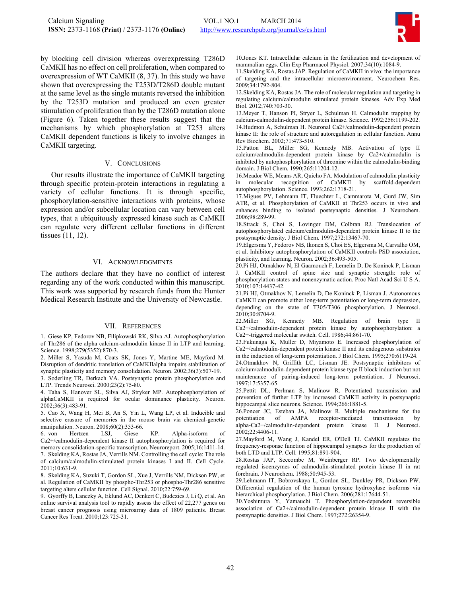

by blocking cell division whereas overexpressing T286D CaMKII has no effect on cell proliferation, when compared to overexpression of WT CaMKII ([8,](#page-0-0) [37\)](#page-0-0). In this study we have shown that overexpressing the T253D/T286D double mutant at the same level as the single mutants reversed the inhibition by the T253D mutation and produced an even greater stimulation of proliferation than by the T286D mutation alone (Figure 6). Taken together these results suggest that the mechanisms by which phosphorylation at T253 alters CaMKII dependent functions is likely to involve changes in CaMKII targeting.

#### V. CONCLUSIONS

Our results illustrate the importance of CaMKII targeting through specific protein-protein interactions in regulating a variety of cellular functions. It is through specific, phosphorylation-sensitive interactions with proteins, whose expression and/or subcellular location can vary between cell types, that a ubiquitously expressed kinase such as CaMKII can regulate very different cellular functions in different tissues [\(11](#page-0-0), [12](#page-0-0)).

#### VI. ACKNOWLEDGMENTS

The authors declare that they have no conflict of interest regarding any of the work conducted within this manuscript. This work was supported by research funds from the Hunter Medical Research Institute and the University of Newcastle.

#### VII. REFERENCES

1. Giese KP, Fedorov NB, Filipkowski RK, Silva AJ. Autophosphorylation of Thr286 of the alpha calcium-calmodulin kinase II in LTP and learning. Science. 1998;279(5352):870-3.

2. Miller S, Yasuda M, Coats SK, Jones Y, Martine ME, Mayford M. Disruption of dendritic translation of CaMKIIalpha impairs stabilization of synaptic plasticity and memory consolidation. Neuron. 2002;36(3):507-19.

3. Soderling TR, Derkach VA. Postsynaptic protein phosphorylation and LTP. Trends Neurosci. 2000;23(2):75-80.

4. Taha S, Hanover SL, Silva AJ, Stryker MP. Autophosphorylation of alphaCaMKII is required for ocular dominance plasticity. Neuron. 2002;36(3):483-91.

5. Cao X, Wang H, Mei B, An S, Yin L, Wang LP, et al. Inducible and selective erasure of memories in the mouse brain via chemical-genetic manipulation. Neuron. 2008;60(2):353-66.

6. von Hertzen LSJ, Giese KP. Alpha-isoform of Ca2+/calmodulin-dependent kinase II autophosphorylation is required for memory consolidation-specific transcription. Neuroreport. 2005;16:1411-14. 7. Skelding KA, Rostas JA, Verrills NM. Controlling the cell cycle: The role of calcium/calmodulin-stimulated protein kinases I and II. Cell Cycle.  $2011:10:631-9$ 

8. Skelding KA, Suzuki T, Gordon SL, Xue J, Verrills NM, Dickson PW, et al. Regulation of CaMKII by phospho-Thr253 or phospho-Thr286 sensitive targeting alters cellular function. Cell Signal. 2010;22:759-69.

9. Gyorffy B, Lanczky A, Eklund AC, Denkert C, Budczies J, Li Q, et al. An online survival analysis tool to rapidly assess the effect of 22,277 genes on breast cancer prognosis using microarray data of 1809 patients. Breast Cancer Res Treat. 2010;123:725-31.

10. Jones KT. Intracellular calcium in the fertilization and development of mammalian eggs. Clin Exp Pharmacol Physiol. 2007;34(10):1084-9.

11. Skelding KA, Rostas JAP. Regulation of CaMKII in vivo: the importance of targeting and the intracellular microenvironment. Neurochem Res. 2009;34:1792-804.

12. Skelding KA, Rostas JA. The role of molecular regulation and targeting in regulating calcium/calmodulin stimulated protein kinases. Adv Exp Med Biol. 2012;740:703-30.

13. Meyer T, Hanson PI, Stryer L, Schulman H. Calmodulin trapping by calcium-calmodulin-dependent protein kinase. Science. 1992;256:1199-202. 14. Hudmon A, Schulman H. Neuronal Ca2+/calmodulin-dependent protein kinase II: the role of structure and autoregulation in cellular function. Annu Rev Biochem. 2002;71:473-510.

15. Patton BL, Miller SG, Kennedy MB. Activation of type II calcium/calmodulin-dependent protein kinase by Ca2+/calmodulin is inhibited by autophosphorylation of threonine within the calmodulin-binding domain. J Biol Chem. 1990;265:11204-12.

16. Meador WE, Means AR, Quicho FA. Modulation of calmodulin plasticity in molecular recognition of CaMKII by scaffold-dependent autophosphorylation. Science. 1993;262:1718-21.

17. Migues PV, Lehmann IT, Fluechter L, Cammarota M, Gurd JW, Sim ATR, et al. Phosphorylation of CaMKII at Thr253 occurs in vivo and enhances binding to isolated postsynaptic densities. J Neurochem. 2006;98:289-99.

18. Strack S, Choi S, Lovinger DM, Colbran RJ. Translocation of autophosphorylated calcium/calmodulin-dependent protein kinase II to the postsynaptic density. J Biol Chem. 1997;272:13467-70.

19. Elgersma Y, Fedorov NB, Ikonen S, Choi ES, Elgersma M, Carvalho OM, et al. Inhibitory autophosphorylation of CaMKII controls PSD association, plasticity, and learning. Neuron. 2002;36:493-505.

20. Pi HJ, Otmakhov N, El Gaamouch F, Lemelin D, De Koninck P, Lisman J. CaMKII control of spine size and synaptic strength: role of phosphorylation states and nonenzymatic action. Proc Natl Acad Sci U S A. 2010;107:14437-42.

21. Pi HJ, Otmakhov N, Lemelin D, De Koninck P, Lisman J. Autonomous CaMKII can promote either long-term potentiation or long-term depression, depending on the state of T305/T306 phosphorylation. J Neurosci. 2010;30:8704-9.

22. Miller SG, Kennedy MB. Regulation of brain type II Ca2+/calmodulin-dependent protein kinase by autophosphorylation: a Ca2+-triggered molecular switch. Cell. 1986;44:861-70.

23. Fukunaga K, Muller D, Miyamoto E. Increased phosphorylation of Ca2+/calmodulin-dependent protein kinase II and its endogenous substrates in the induction of long-term potentiation. J Biol Chem. 1995;270:6119-24.

24. Otmakhov N, Griffith LC, Lisman JE. Postsynaptic inhibitors of calcium/calmodulin-dependent protein kianse type II block induction but not maintenance of pairing-induced long-term potentiation. J Neurosci. 1997;17:5357-65.

25. Pettit DL, Perlman S, Malinow R. Potentiated transmission and prevention of further LTP by increased CaMKII activity in postsynaptic hippocampal slice neurons. Science. 1994;266:1881-5.

26. Poncer JC, Esteban JA, Malinow R. Multiple mechanisms for the potentiation of AMPA receptor-mediated transmission by potentiation of AMPA receptor-mediated transmission by alpha-Ca2+/calmodulin-dependent protein kinase II. J Neurosci. 2002;22:4406-11.

27. Mayford M, Wang J, Kandel ER, O'Dell TJ. CaMKII regulates the frequency-response function of hippocampal synapses for the production of both LTD and LTP. Cell. 1995;81:891-904.

28. Rostas JAP, Seccombe M, Weinberger RP. Two developmentally regulated isoenzymes of calmodulin-stimulated protein kinase II in rat forebrain. J Neurochem. 1988;50:945-53.

29. Lehmann IT, Bobrovskaya L, Gordon SL, Dunkley PR, Dickson PW. Differential regulation of the human tyrosine hydroxylase isoforms via hierarchical phosphorylation. J Biol Chem. 2006;281:17644-51.

30. Yoshimura Y, Yamauchi T. Phosphorylation-dependent reversible association of Ca2+/calmodulin-dependent protein kinase II with the postsynaptic densities. J Biol Chem. 1997;272:26354-9.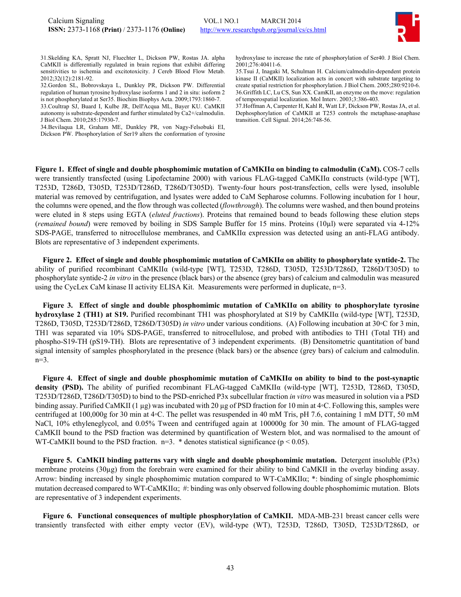

31. Skelding KA, Spratt NJ, Fluechter L, Dickson PW, Rostas JA. alpha CaMKII is differentially regulated in brain regions that exhibit differing sensitivities to ischemia and excitotoxicity. J Cereb Blood Flow Metab. 2012;32(12):2181-92.

32. Gordon SL, Bobrovskaya L, Dunkley PR, Dickson PW. Differential regulation of human tyrosine hydroxylase isoforms 1 and 2 in situ: isoform 2 is not phosphorylated at Ser35. Biochim Biophys Acta. 2009;1793:1860-7.

33. Coultrap SJ, Buard I, Kulbe JR, Dell'Acqua ML, Bayer KU. CaMKII autonomy is substrate-dependent and further stimulated by Ca2+/calmodulin. J Biol Chem. 2010;285:17930-7.

34. Bevilaqua LR, Graham ME, Dunkley PR, von Nagy-Felsobuki EI, Dickson PW. Phosphorylation of Ser19 alters the conformation of tyrosine hydroxylase to increase the rate of phosphorylation of Ser40. J Biol Chem. 2001;276:40411-6.

35. Tsui J, Inagaki M, Schulman H. Calcium/calmodulin-dependent protein kinase II (CaMKII) localization acts in concert with substrate targeting to create spatial restriction for phosphorylation. J Biol Chem. 2005;280:9210-6. 36. Griffith LC, Lu CS, Sun XX. CamKII, an enzyme on the move: regulation of temporospatial localization. Mol Interv. 2003;3:386-403.

37. Hoffman A, Carpenter H, Kahl R, Watt LF, Dickson PW, Rostas JA, et al. Dephosphorylation of CaMKII at T253 controls the metaphase-anaphase transition. Cell Signal. 2014;26:748-56.

**Figure 1. Effect of single and double phosphomimic mutation of CaMKIIα on binding to calmodulin (CaM).** COS-7 cells were transiently transfected (using Lipofectamine 2000) with various FLAG-tagged CaMKIIα constructs (wild-type [WT], T253D, T286D, T305D, T253D/T286D, T286D/T305D). Twenty-four hours post-transfection, cells were lysed, insoluble material was removed by centrifugation, and lysates were added to CaM Sepharose columns. Following incubation for 1 hour, the columns were opened, and the flow through was collected (*flowthrough*). The columns were washed, and then bound proteins were eluted in 8 steps using EGTA (*eluted fractions*). Proteins that remained bound to beads following these elution steps (*remained bound*) were removed by boiling in SDS Sample Buffer for 15 mins. Proteins (10µl) were separated via 4-12% SDS-PAGE, transferred to nitrocellulose membranes, and CaMKIIα expression was detected using an anti-FLAG antibody. Blots are representative of 3 independent experiments.

**Figure 2. Effect of single and double phosphomimic mutation of CaMKIIα on ability to phosphorylate syntide-2.** The ability of purified recombinant CaMKIIα (wild-type [WT], T253D, T286D, T305D, T253D/T286D, T286D/T305D) to phosphorylate syntide-2 *in vitro* in the presence (black bars) or the absence (grey bars) of calcium and calmodulin was measured using the CycLex CaM kinase II activity ELISA Kit. Measurements were performed in duplicate, n=3.

**Figure 3. Effect of single and double phosphomimic mutation of CaMKIIα on ability to phosphorylate tyrosine hydroxylase 2 (TH1) at S19.** Purified recombinant TH1 was phosphorylated at S19 by CaMKIIα (wild-type [WT], T253D, T286D, T305D, T253D/T286D, T286D/T305D) *in vitro* under various conditions. (A) Following incubation at 30◦C for 3 min, TH1 was separated via 10% SDS-PAGE, transferred to nitrocellulose, and probed with antibodies to TH1 (Total TH) and phospho-S19-TH (pS19-TH). Blots are representative of 3 independent experiments. (B) Densitometric quantitation of band signal intensity of samples phosphorylated in the presence (black bars) or the absence (grey bars) of calcium and calmodulin. n=3.

**Figure 4. Effect of single and double phosphomimic mutation of CaMKIIα on ability to bind to the post-synaptic density (PSD).** The ability of purified recombinant FLAG-tagged CaMKIIα (wild-type [WT], T253D, T286D, T305D, T253D/T286D, T286D/T305D) to bind to the PSD-enriched P3x subcellular fraction *in vitro* was measured in solution via a PSD binding assay. Purified CaMKII (1 µg) was incubated with 20 µg of PSD fraction for 10 min at 4◦C. Following this, samples were centrifuged at 100,000g for 30 min at 4◦C. The pellet was resuspended in 40 mM Tris, pH 7.6, containing 1 mM DTT, 50 mM NaCl, 10% ethyleneglycol, and 0.05% Tween and centrifuged again at 100000g for 30 min. The amount of FLAG-tagged CaMKII bound to the PSD fraction was determined by quantification of Western blot, and was normalised to the amount of WT-CaMKII bound to the PSD fraction.  $n=3.$  \* denotes statistical significance ( $p < 0.05$ ).

**Figure 5. CaMKII binding patterns vary with single and double phosphomimic mutation.** Detergent insoluble (P3x) membrane proteins (30µg) from the forebrain were examined for their ability to bind CaMKII in the overlay binding assay. Arrow: binding increased by single phosphomimic mutation compared to WT-CaMKII $\alpha$ ;  $\ast$ : binding of single phosphomimic mutation decreased compared to WT-CaMKIIα; #: binding was only observed following double phosphomimic mutation. Blots are representative of 3 independent experiments.

**Figure 6. Functional consequences of multiple phosphorylation of CaMKII.** MDA-MB-231 breast cancer cells were transiently transfected with either empty vector (EV), wild-type (WT), T253D, T286D, T305D, T253D/T286D, or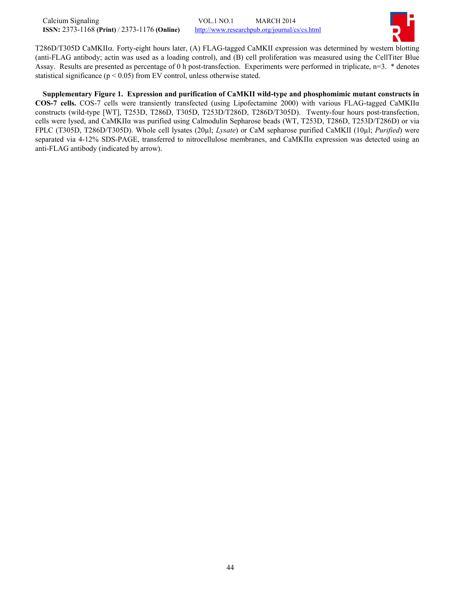

T286D/T305D CaMKIIα. Forty-eight hours later, (A) FLAG-tagged CaMKII expression was determined by western blotting (anti-FLAG antibody; actin was used as a loading control), and (B) cell proliferation was measured using the CellTiter Blue Assay. Results are presented as percentage of 0 h post-transfection. Experiments were performed in triplicate, n=3. \* denotes statistical significance ( $p < 0.05$ ) from EV control, unless otherwise stated.

**Supplementary Figure 1. Expression and purification of CaMKII wild-type and phosphomimic mutant constructs in COS-7 cells.** COS-7 cells were transiently transfected (using Lipofectamine 2000) with various FLAG-tagged CaMKIIα constructs (wild-type [WT], T253D, T286D, T305D, T253D/T286D, T286D/T305D). Twenty-four hours post-transfection, cells were lysed, and CaMKIIα was purified using Calmodulin Sepharose beads (WT, T253D, T286D, T253D/T286D) or via FPLC (T305D, T286D/T305D). Whole cell lysates (20µl; *Lysate*) or CaM sepharose purified CaMKII (10µl; *Purified*) were separated via 4-12% SDS-PAGE, transferred to nitrocellulose membranes, and CaMKIIα expression was detected using an anti-FLAG antibody (indicated by arrow).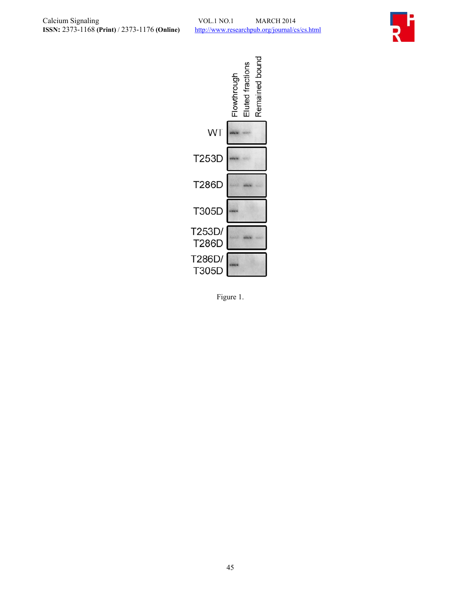



Figure 1.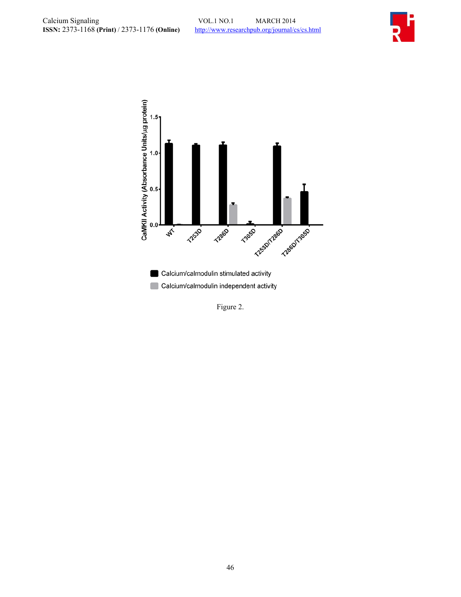



Figure 2.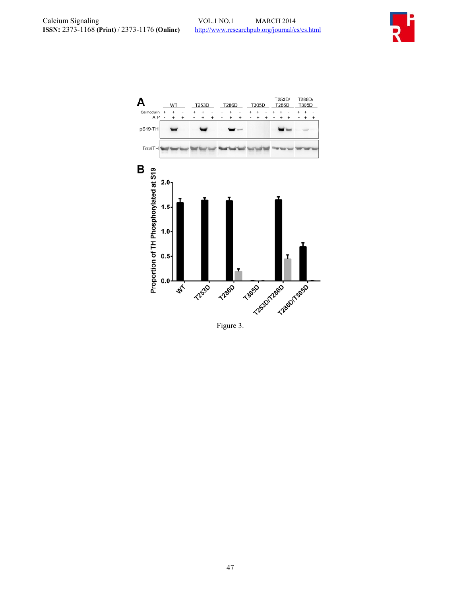



Figure 3.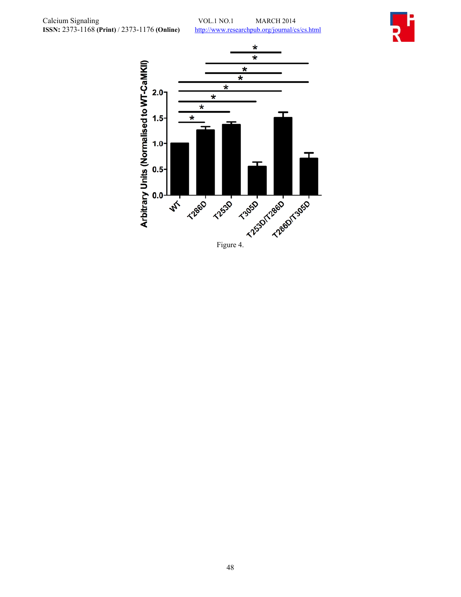

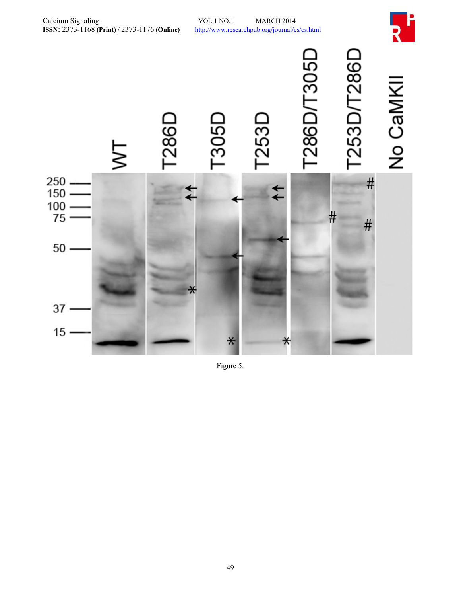

Figure 5.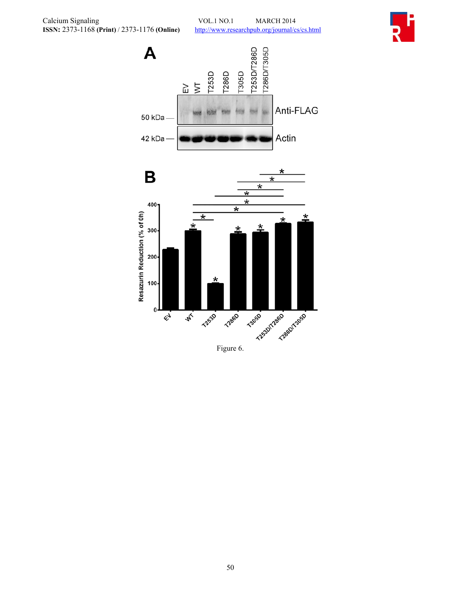